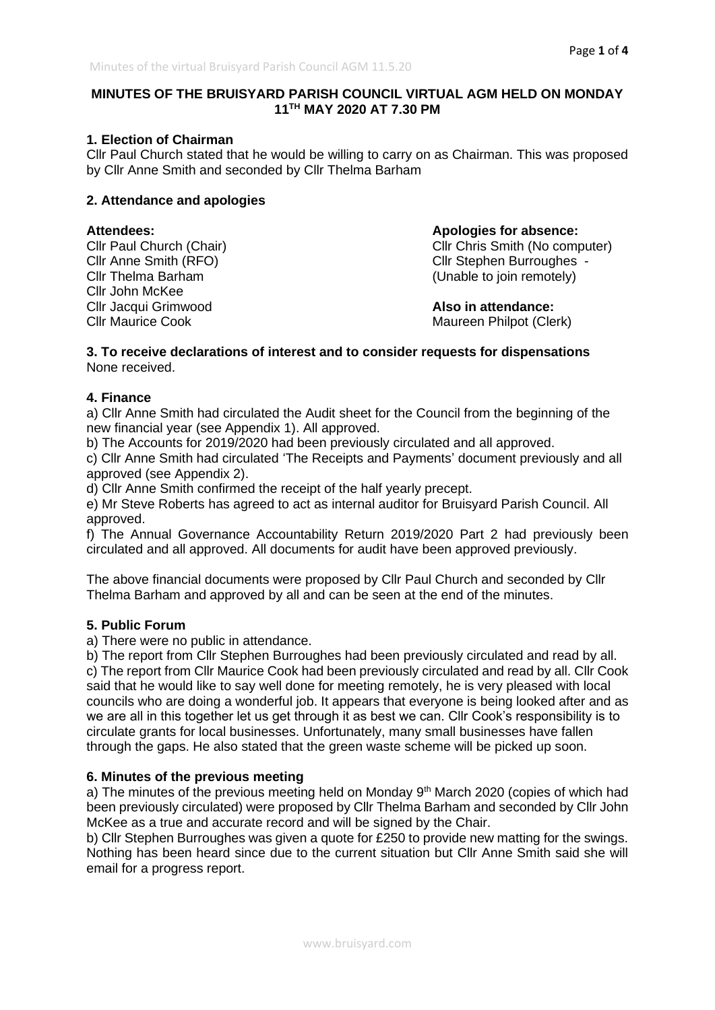# **MINUTES OF THE BRUISYARD PARISH COUNCIL VIRTUAL AGM HELD ON MONDAY 11TH MAY 2020 AT 7.30 PM**

# **1. Election of Chairman**

Cllr Paul Church stated that he would be willing to carry on as Chairman. This was proposed by Cllr Anne Smith and seconded by Cllr Thelma Barham

# **2. Attendance and apologies**

Cllr John McKee Cllr Jacqui Grimwood **Also in attendance:** Cllr Maurice Cook **Maurice Cook** Maureen Philpot (Clerk)

**Attendees: Apologies for absence:** Cllr Paul Church (Chair) Cllr Chris Smith (No computer) Cllr Chris Smith (No computer) Cllr Anne Smith (RFO) Cllr Stephen Burroughes -Cllr Thelma Barham (Unable to join remotely)

#### **3. To receive declarations of interest and to consider requests for dispensations** None received.

# **4. Finance**

a) Cllr Anne Smith had circulated the Audit sheet for the Council from the beginning of the new financial year (see Appendix 1). All approved.

b) The Accounts for 2019/2020 had been previously circulated and all approved.

c) Cllr Anne Smith had circulated 'The Receipts and Payments' document previously and all approved (see Appendix 2).

d) Cllr Anne Smith confirmed the receipt of the half yearly precept.

e) Mr Steve Roberts has agreed to act as internal auditor for Bruisyard Parish Council. All approved.

f) The Annual Governance Accountability Return 2019/2020 Part 2 had previously been circulated and all approved. All documents for audit have been approved previously.

The above financial documents were proposed by Cllr Paul Church and seconded by Cllr Thelma Barham and approved by all and can be seen at the end of the minutes.

# **5. Public Forum**

a) There were no public in attendance.

b) The report from Cllr Stephen Burroughes had been previously circulated and read by all. c) The report from Cllr Maurice Cook had been previously circulated and read by all. Cllr Cook said that he would like to say well done for meeting remotely, he is very pleased with local councils who are doing a wonderful job. It appears that everyone is being looked after and as we are all in this together let us get through it as best we can. Cllr Cook's responsibility is to circulate grants for local businesses. Unfortunately, many small businesses have fallen through the gaps. He also stated that the green waste scheme will be picked up soon.

#### **6. Minutes of the previous meeting**

a) The minutes of the previous meeting held on Monday 9<sup>th</sup> March 2020 (copies of which had been previously circulated) were proposed by Cllr Thelma Barham and seconded by Cllr John McKee as a true and accurate record and will be signed by the Chair.

b) Cllr Stephen Burroughes was given a quote for £250 to provide new matting for the swings. Nothing has been heard since due to the current situation but Cllr Anne Smith said she will email for a progress report.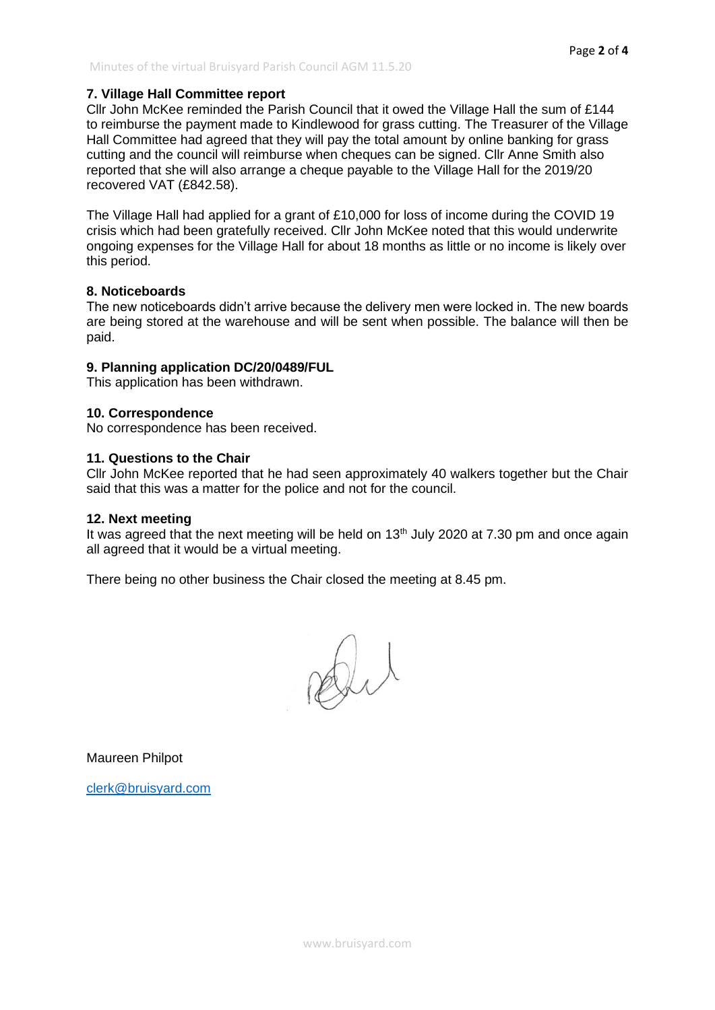# **7. Village Hall Committee report**

Cllr John McKee reminded the Parish Council that it owed the Village Hall the sum of £144 to reimburse the payment made to Kindlewood for grass cutting. The Treasurer of the Village Hall Committee had agreed that they will pay the total amount by online banking for grass cutting and the council will reimburse when cheques can be signed. Cllr Anne Smith also reported that she will also arrange a cheque payable to the Village Hall for the 2019/20 recovered VAT (£842.58).

The Village Hall had applied for a grant of £10,000 for loss of income during the COVID 19 crisis which had been gratefully received. Cllr John McKee noted that this would underwrite ongoing expenses for the Village Hall for about 18 months as little or no income is likely over this period.

#### **8. Noticeboards**

The new noticeboards didn't arrive because the delivery men were locked in. The new boards are being stored at the warehouse and will be sent when possible. The balance will then be paid.

### **9. Planning application DC/20/0489/FUL**

This application has been withdrawn.

#### **10. Correspondence**

No correspondence has been received.

#### **11. Questions to the Chair**

Cllr John McKee reported that he had seen approximately 40 walkers together but the Chair said that this was a matter for the police and not for the council.

#### **12. Next meeting**

It was agreed that the next meeting will be held on  $13<sup>th</sup>$  July 2020 at 7.30 pm and once again all agreed that it would be a virtual meeting.

There being no other business the Chair closed the meeting at 8.45 pm.

Dit

Maureen Philpot

[clerk@bruisyard.com](mailto:clerk@bruisyard.com)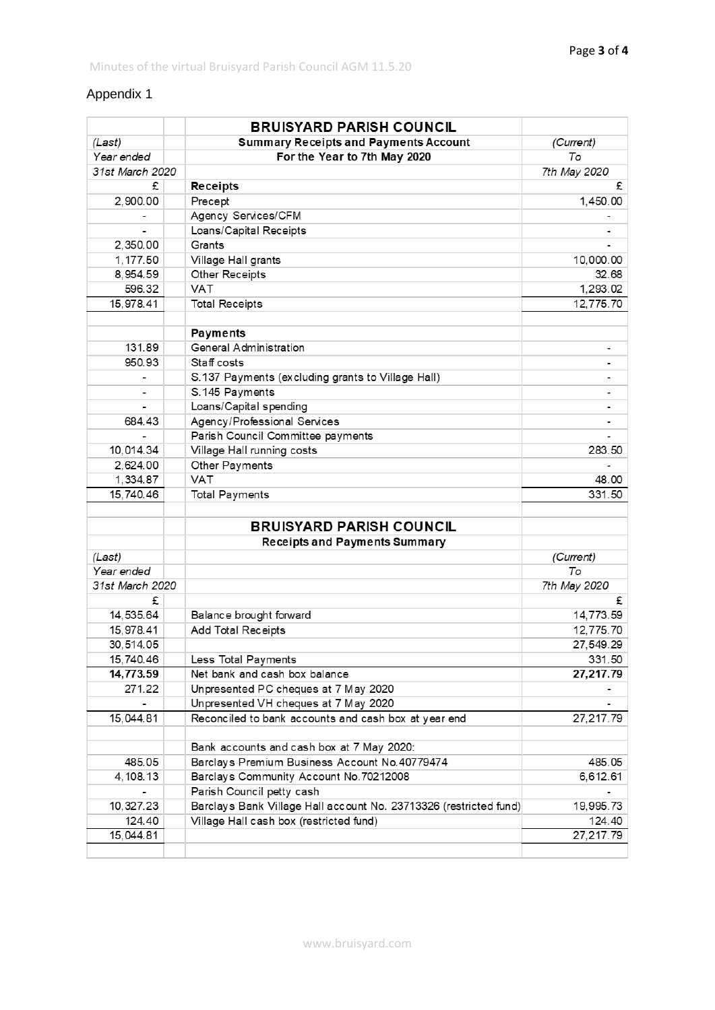# Appendix 1

|                 |  | <b>BRUISYARD PARISH COUNCIL</b>                                   |                          |
|-----------------|--|-------------------------------------------------------------------|--------------------------|
| (Last)          |  | <b>Summary Receipts and Payments Account</b>                      | (Current)                |
| Year ended      |  | For the Year to 7th May 2020                                      | To                       |
| 31st March 2020 |  |                                                                   | 7th May 2020             |
| £               |  | Receipts                                                          | £                        |
| 2,900.00        |  | Precept                                                           | 1,450.00                 |
|                 |  | Agency Services/CFM                                               |                          |
|                 |  | Loans/Capital Receipts                                            |                          |
| 2,350.00        |  | Grants                                                            |                          |
| 1,177.50        |  | Village Hall grants                                               | 10,000.00                |
| 8,954.59        |  | Other Receipts                                                    | 32.68                    |
| 596.32          |  | <b>VAT</b>                                                        | 1,293.02                 |
| 15,978.41       |  | <b>Total Receipts</b>                                             | 12,775.70                |
|                 |  |                                                                   |                          |
|                 |  | <b>Payments</b>                                                   |                          |
| 131.89          |  | <b>General Administration</b>                                     |                          |
| 950.93          |  | Staff costs                                                       |                          |
|                 |  | S.137 Payments (excluding grants to Village Hall)                 |                          |
|                 |  | S.145 Payments                                                    |                          |
|                 |  | Loans/Capital spending                                            | -                        |
| 684.43          |  | Agency/Professional Services                                      | $\overline{\phantom{a}}$ |
|                 |  | Parish Council Committee payments                                 |                          |
| 10,014.34       |  | Village Hall running costs                                        | 283.50                   |
| 2,624.00        |  | Other Payments                                                    |                          |
| 1,334.87        |  | <b>VAT</b>                                                        | 48.00                    |
| 15,740.46       |  | <b>Total Payments</b>                                             | 331.50                   |
|                 |  | <b>BRUISYARD PARISH COUNCIL</b>                                   |                          |
|                 |  | <b>Receipts and Payments Summary</b>                              |                          |
| (Last)          |  |                                                                   | (Current)                |
| Year ended      |  |                                                                   | То                       |
| 31st March 2020 |  |                                                                   | 7th May 2020             |
| £               |  |                                                                   | £                        |
| 14,535.64       |  | Balance brought forward                                           | 14,773.59                |
| 15,978.41       |  | Add Total Receipts                                                | 12,775.70                |
| 30,514.05       |  |                                                                   | 27,549.29                |
| 15,740.46       |  | Less Total Payments                                               | 331.50                   |
| 14,773.59       |  | Net bank and cash box balance                                     | 27,217.79                |
| 271.22          |  | Unpresented PC cheques at 7 May 2020                              |                          |
|                 |  | Unpresented VH cheques at 7 May 2020                              |                          |
| 15,044.81       |  | Reconciled to bank accounts and cash box at year end              | 27,217.79                |
|                 |  |                                                                   |                          |
|                 |  | Bank accounts and cash box at 7 May 2020:                         |                          |
| 485.05          |  | Barclays Premium Business Account No.40779474                     | 485.05                   |
| 4, 108. 13      |  | Barclays Community Account No. 70212008                           | 6,612.61                 |
|                 |  | Parish Council petty cash                                         |                          |
| 10,327.23       |  | Barclays Bank Village Hall account No. 23713326 (restricted fund) | 19,995.73                |
| 124.40          |  | Village Hall cash box (restricted fund)                           | 124.40                   |
| 15,044.81       |  |                                                                   | 27,217.79                |
|                 |  |                                                                   |                          |